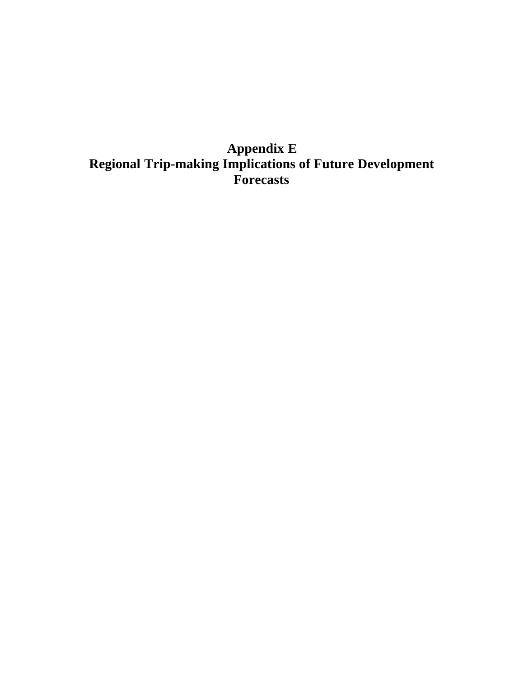## **Appendix E Regional Trip-making Implications of Future Development Forecasts**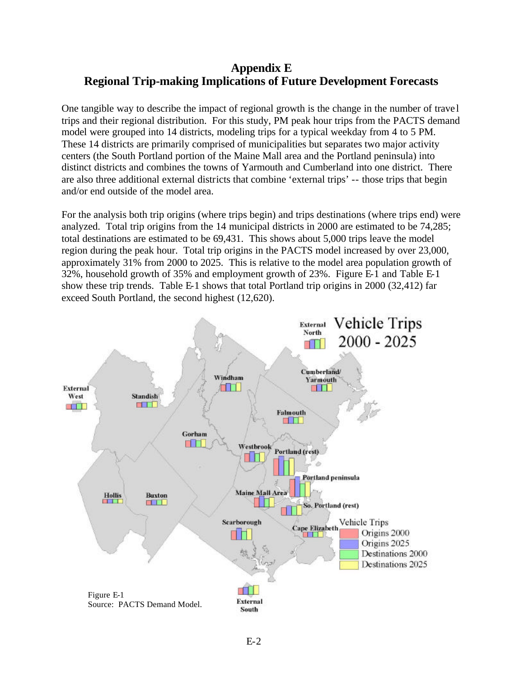## **Appendix E Regional Trip-making Implications of Future Development Forecasts**

One tangible way to describe the impact of regional growth is the change in the number of trave l trips and their regional distribution. For this study, PM peak hour trips from the PACTS demand model were grouped into 14 districts, modeling trips for a typical weekday from 4 to 5 PM. These 14 districts are primarily comprised of municipalities but separates two major activity centers (the South Portland portion of the Maine Mall area and the Portland peninsula) into distinct districts and combines the towns of Yarmouth and Cumberland into one district. There are also three additional external districts that combine 'external trips' -- those trips that begin and/or end outside of the model area.

For the analysis both trip origins (where trips begin) and trips destinations (where trips end) were analyzed. Total trip origins from the 14 municipal districts in 2000 are estimated to be 74,285; total destinations are estimated to be 69,431. This shows about 5,000 trips leave the model region during the peak hour. Total trip origins in the PACTS model increased by over 23,000, approximately 31% from 2000 to 2025. This is relative to the model area population growth of 32%, household growth of 35% and employment growth of 23%. Figure E-1 and Table E-1 show these trip trends. Table E-1 shows that total Portland trip origins in 2000 (32,412) far exceed South Portland, the second highest (12,620).

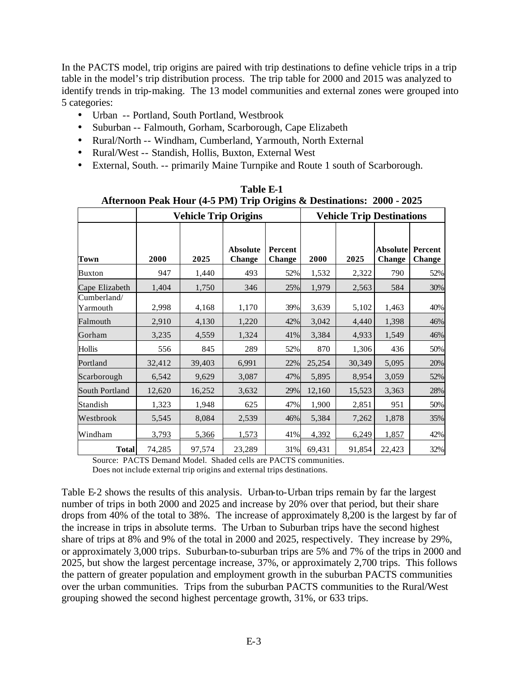In the PACTS model, trip origins are paired with trip destinations to define vehicle trips in a trip table in the model's trip distribution process. The trip table for 2000 and 2015 was analyzed to identify trends in trip-making. The 13 model communities and external zones were grouped into 5 categories:

- Urban -- Portland, South Portland, Westbrook
- Suburban -- Falmouth, Gorham, Scarborough, Cape Elizabeth
- Rural/North -- Windham, Cumberland, Yarmouth, North External
- Rural/West -- Standish, Hollis, Buxton, External West
- External, South. -- primarily Maine Turnpike and Route 1 south of Scarborough.

|                         |        | <b>Vehicle Trip Origins</b> | $\frac{1}{2}$ and $\frac{1}{2}$ and $\frac{1}{2}$ and $\frac{1}{2}$ and $\frac{1}{2}$ and $\frac{1}{2}$ and $\frac{1}{2}$ and $\frac{1}{2}$ and $\frac{1}{2}$ and $\frac{1}{2}$ and $\frac{1}{2}$ and $\frac{1}{2}$ and $\frac{1}{2}$ and $\frac{1}{2}$ and $\frac{1}{2}$ and $\frac{1}{2}$ a<br><b>Vehicle Trip Destinations</b> |                                 |        |        |                                  |                          |
|-------------------------|--------|-----------------------------|-----------------------------------------------------------------------------------------------------------------------------------------------------------------------------------------------------------------------------------------------------------------------------------------------------------------------------------|---------------------------------|--------|--------|----------------------------------|--------------------------|
| <b>Town</b>             | 2000   | 2025                        | <b>Absolute</b><br><b>Change</b>                                                                                                                                                                                                                                                                                                  | <b>Percent</b><br><b>Change</b> | 2000   | 2025   | <b>Absolute</b><br><b>Change</b> | Percent<br><b>Change</b> |
| <b>Buxton</b>           | 947    | 1,440                       | 493                                                                                                                                                                                                                                                                                                                               | 52%                             | 1,532  | 2,322  | 790                              | 52%                      |
| Cape Elizabeth          | 1,404  | 1,750                       | 346                                                                                                                                                                                                                                                                                                                               | 25%                             | 1,979  | 2,563  | 584                              | 30%                      |
| Cumberland/<br>Yarmouth | 2,998  | 4,168                       | 1,170                                                                                                                                                                                                                                                                                                                             | 39%                             | 3,639  | 5,102  | 1,463                            | 40%                      |
| Falmouth                | 2,910  | 4,130                       | 1,220                                                                                                                                                                                                                                                                                                                             | 42%                             | 3,042  | 4,440  | 1,398                            | 46%                      |
| Gorham                  | 3,235  | 4,559                       | 1,324                                                                                                                                                                                                                                                                                                                             | 41%                             | 3,384  | 4,933  | 1,549                            | 46%                      |
| Hollis                  | 556    | 845                         | 289                                                                                                                                                                                                                                                                                                                               | 52%                             | 870    | 1,306  | 436                              | 50%                      |
| Portland                | 32,412 | 39,403                      | 6,991                                                                                                                                                                                                                                                                                                                             | 22%                             | 25,254 | 30,349 | 5,095                            | 20%                      |
| Scarborough             | 6,542  | 9,629                       | 3,087                                                                                                                                                                                                                                                                                                                             | 47%                             | 5,895  | 8,954  | 3,059                            | 52%                      |
| South Portland          | 12,620 | 16,252                      | 3,632                                                                                                                                                                                                                                                                                                                             | 29%                             | 12,160 | 15,523 | 3,363                            | 28%                      |
| Standish                | 1,323  | 1,948                       | 625                                                                                                                                                                                                                                                                                                                               | 47%                             | 1,900  | 2,851  | 951                              | 50%                      |
| Westbrook               | 5,545  | 8,084                       | 2,539                                                                                                                                                                                                                                                                                                                             | 46%                             | 5,384  | 7,262  | 1,878                            | 35%                      |
| Windham                 | 3,793  | 5,366                       | 1,573                                                                                                                                                                                                                                                                                                                             | 41%                             | 4,392  | 6,249  | 1,857                            | 42%                      |
| <b>Total</b>            | 74,285 | 97,574                      | 23,289                                                                                                                                                                                                                                                                                                                            | 31%                             | 69,431 | 91,854 | 22,423                           | 32%                      |

**Table E-1 Afternoon Peak Hour (4-5 PM) Trip Origins & Destinations: 2000 - 2025**

Source: PACTS Demand Model. Shaded cells are PACTS communities. Does not include external trip origins and external trips destinations.

Table E-2 shows the results of this analysis. Urban-to-Urban trips remain by far the largest number of trips in both 2000 and 2025 and increase by 20% over that period, but their share drops from 40% of the total to 38%. The increase of approximately 8,200 is the largest by far of the increase in trips in absolute terms. The Urban to Suburban trips have the second highest share of trips at 8% and 9% of the total in 2000 and 2025, respectively. They increase by 29%, or approximately 3,000 trips. Suburban-to-suburban trips are 5% and 7% of the trips in 2000 and 2025, but show the largest percentage increase, 37%, or approximately 2,700 trips. This follows the pattern of greater population and employment growth in the suburban PACTS communities over the urban communities. Trips from the suburban PACTS communities to the Rural/West grouping showed the second highest percentage growth, 31%, or 633 trips.